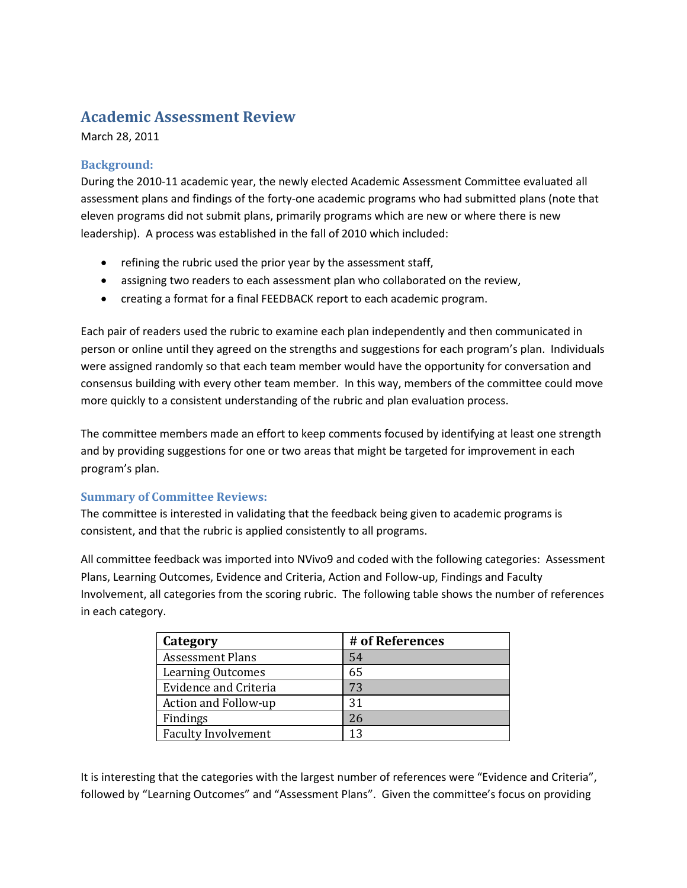# **Academic Assessment Review**

March 28, 2011

## **Background:**

During the 2010-11 academic year, the newly elected Academic Assessment Committee evaluated all assessment plans and findings of the forty-one academic programs who had submitted plans (note that eleven programs did not submit plans, primarily programs which are new or where there is new leadership). A process was established in the fall of 2010 which included:

- refining the rubric used the prior year by the assessment staff,
- assigning two readers to each assessment plan who collaborated on the review,
- creating a format for a final FEEDBACK report to each academic program.

Each pair of readers used the rubric to examine each plan independently and then communicated in person or online until they agreed on the strengths and suggestions for each program's plan. Individuals were assigned randomly so that each team member would have the opportunity for conversation and consensus building with every other team member. In this way, members of the committee could move more quickly to a consistent understanding of the rubric and plan evaluation process.

The committee members made an effort to keep comments focused by identifying at least one strength and by providing suggestions for one or two areas that might be targeted for improvement in each program's plan.

### **Summary of Committee Reviews:**

The committee is interested in validating that the feedback being given to academic programs is consistent, and that the rubric is applied consistently to all programs.

All committee feedback was imported into NVivo9 and coded with the following categories: Assessment Plans, Learning Outcomes, Evidence and Criteria, Action and Follow-up, Findings and Faculty Involvement, all categories from the scoring rubric. The following table shows the number of references in each category.

| Category                     | # of References |
|------------------------------|-----------------|
| <b>Assessment Plans</b>      | 54              |
| <b>Learning Outcomes</b>     | 65              |
| <b>Evidence and Criteria</b> | 73              |
| Action and Follow-up         | 31              |
| Findings                     | 26              |
| <b>Faculty Involvement</b>   | 13              |

It is interesting that the categories with the largest number of references were "Evidence and Criteria", followed by "Learning Outcomes" and "Assessment Plans". Given the committee's focus on providing